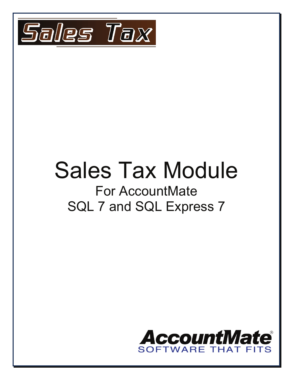

# Sales Tax Module For AccountMate

# SQL 7 and SQL Express 7

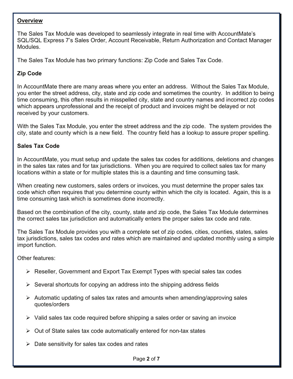#### **Overview**

The Sales Tax Module was developed to seamlessly integrate in real time with AccountMate's SQL/SQL Express 7's Sales Order, Account Receivable, Return Authorization and Contact Manager Modules.

The Sales Tax Module has two primary functions: Zip Code and Sales Tax Code.

### **Zip Code**

In AccountMate there are many areas where you enter an address. Without the Sales Tax Module, you enter the street address, city, state and zip code and sometimes the country. In addition to being time consuming, this often results in misspelled city, state and country names and incorrect zip codes which appears unprofessional and the receipt of product and invoices might be delayed or not received by your customers.

With the Sales Tax Module, you enter the street address and the zip code. The system provides the city, state and county which is a new field. The country field has a lookup to assure proper spelling.

## **Sales Tax Code**

In AccountMate, you must setup and update the sales tax codes for additions, deletions and changes in the sales tax rates and for tax jurisdictions. When you are required to collect sales tax for many locations within a state or for multiple states this is a daunting and time consuming task.

When creating new customers, sales orders or invoices, you must determine the proper sales tax code which often requires that you determine county within which the city is located. Again, this is a time consuming task which is sometimes done incorrectly.

Based on the combination of the city, county, state and zip code, the Sales Tax Module determines the correct sales tax jurisdiction and automatically enters the proper sales tax code and rate.

The Sales Tax Module provides you with a complete set of zip codes, cities, counties, states, sales tax jurisdictions, sales tax codes and rates which are maintained and updated monthly using a simple import function.

Other features:

- $\triangleright$  Reseller, Government and Export Tax Exempt Types with special sales tax codes
- $\triangleright$  Several shortcuts for copying an address into the shipping address fields
- $\triangleright$  Automatic updating of sales tax rates and amounts when amending/approving sales quotes/orders
- $\triangleright$  Valid sales tax code required before shipping a sales order or saving an invoice
- $\triangleright$  Out of State sales tax code automatically entered for non-tax states
- $\triangleright$  Date sensitivity for sales tax codes and rates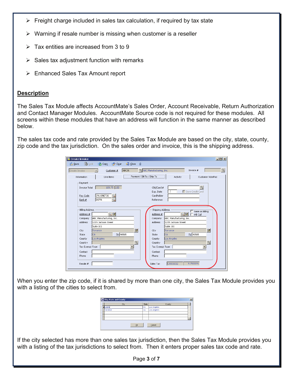- $\triangleright$  Freight charge included in sales tax calculation, if required by tax state
- $\triangleright$  Warning if resale number is missing when customer is a reseller
- $\triangleright$  Tax entities are increased from 3 to 9
- $\triangleright$  Sales tax adjustment function with remarks
- $\triangleright$  Enhanced Sales Tax Amount report

#### **Description**

The Sales Tax Module affects AccountMate's Sales Order, Account Receivable, Return Authorization and Contact Manager Modules. AccountMate Source code is not required for these modules. All screens within these modules that have an address will function in the same manner as described below.

The sales tax code and rate provided by the Sales Tax Module are based on the city, state, county, zip code and the tax jurisdiction. On the sales order and invoice, this is the shipping address.

| 医 Create Invoice                                                                                                                                          | $   x$ $-$                                                                                                                                                                                                                                                                                                                                                                                                                                                                                                                                                                                                |
|-----------------------------------------------------------------------------------------------------------------------------------------------------------|-----------------------------------------------------------------------------------------------------------------------------------------------------------------------------------------------------------------------------------------------------------------------------------------------------------------------------------------------------------------------------------------------------------------------------------------------------------------------------------------------------------------------------------------------------------------------------------------------------------|
| <b>Copy Void</b><br><b>Save</b>                                                                                                                           | $\Box$ Close<br>Û<br>Copy<br>Clear                                                                                                                                                                                                                                                                                                                                                                                                                                                                                                                                                                        |
| Create Invoice                                                                                                                                            | $\mathcal{D}_\text{c}$<br><sup>3</sup> ABC Manufacturing, Inc.<br>Invoice #<br>ABC01<br>Customer #                                                                                                                                                                                                                                                                                                                                                                                                                                                                                                        |
| Information                                                                                                                                               | Payment / Bill To / Ship To<br>Line Items<br>Activity<br>Customer NotePad                                                                                                                                                                                                                                                                                                                                                                                                                                                                                                                                 |
| Payment<br>Invoice Total<br>Pay Code<br>Bank #                                                                                                            | 109.75 USD<br>٩<br>Chk/Card #<br>Save Credit Card<br>Exp. Date<br>2%10NET30<br>Cardholder<br><b>BOFA</b><br>Reference                                                                                                                                                                                                                                                                                                                                                                                                                                                                                     |
| <b>Billing Address</b><br>Address #<br>Company<br><b>Address</b><br>City<br>State<br>County<br>Country<br>Tax Exempt Type<br>Contact<br>Phone<br>Resale # | Shipping Address<br>Same as Billing<br>$C_n$ <sub><math>\mathbb{Z}</math></sub><br>$C_{\bullet}$ $\mathbb{D}$<br>Address #<br>Will Call<br>ABC Manufacturing, Inc.<br>ABC Manufacturing, Inc.<br>Company<br>1215 Jackson Street<br>1215 Jackson Street<br><b>Address</b><br>Suite 101<br>Suite 101<br>$\mathbb{E}$<br>动<br>Torrance<br>City<br>Torrance<br>Zip 90505<br>Zip 90505<br>lca<br><b>CA</b><br>State<br>Los Angeles<br>Los Angeles<br>County<br>$\mathbb{Q}$<br>$\mathbb{C}$<br>Country<br>Tax Exempt Type<br>$\overline{\phantom{a}}$<br>Contact<br>Phone<br>9.75000%<br>CA001032<br>Sales Tax |

When you enter the zip code, if it is shared by more than one city, the Sales Tax Module provides you with a listing of the cities to select from.

| City, State and County |       |             | $\mathbf{x}$ |
|------------------------|-------|-------------|--------------|
| City                   | State | County      |              |
| .omita                 | СA    | Los Angeles |              |
| Torrance               | CA    | Los Angeles |              |
|                        |       |             |              |
|                        |       |             |              |
|                        |       |             |              |
| QK                     |       | Cancel      |              |

If the city selected has more than one sales tax jurisdiction, then the Sales Tax Module provides you with a listing of the tax jurisdictions to select from. Then it enters proper sales tax code and rate.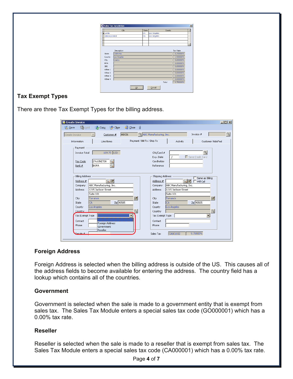|                | City        | State |                   | County   |              | $\blacktriangle$ |
|----------------|-------------|-------|-------------------|----------|--------------|------------------|
| Lomta          |             | ĊA.   | Los Angeles       |          |              |                  |
| Unincorporated |             | ĊА.   | Los Angeles       |          |              |                  |
|                |             |       |                   |          |              |                  |
|                |             |       |                   |          |              |                  |
|                |             |       |                   |          |              |                  |
|                | Description |       |                   | Tax Rate |              |                  |
| State          | California  |       |                   |          | 8.250000%    |                  |
| County         | Los Angeles |       |                   |          | 1.500000%    |                  |
|                |             |       |                   |          |              |                  |
| City           | Lomita      |       |                   |          | $0.000000\%$ |                  |
| MTA.           |             |       |                   |          | $0.000000\%$ |                  |
| SPD            |             |       |                   |          | $0.000000\%$ |                  |
| Other 1        |             |       |                   |          | $0.000000\%$ |                  |
| Other 2        |             |       |                   |          | $0.000000\%$ |                  |
| Other 3        |             |       |                   |          | $0.000000\%$ |                  |
| Other 4        |             |       |                   |          | $0.000000\%$ |                  |
|                |             |       | Total             |          | 9.750000%    |                  |
|                |             | QK    | $\subseteq$ ancel |          |              |                  |

# **Tax Exempt Types**

There are three Tax Exempt Types for the billing address.

| <b>B</b> Create Invoice                        |                   |                                      |                         |                                | $\Box$ $\Box$ $\times$   |
|------------------------------------------------|-------------------|--------------------------------------|-------------------------|--------------------------------|--------------------------|
| Clear<br><b>B</b> y Void<br><b>Opy</b><br>Save | $\Box$ Close<br>明 |                                      |                         |                                |                          |
| Create Invoice<br>Customer #                   | ABC01             | <sup>3</sup> ABC Manufacturing, Inc. |                         | Invoice #                      | $\mathcal{C}_\mathbf{q}$ |
| Information<br>Line Items                      |                   | Payment / Bill To / Ship To          | Activity                | Customer NotePad               |                          |
| Payment                                        |                   |                                      |                         |                                |                          |
| 109.75 USD<br>Invoice Total                    |                   | Chk/Card #                           |                         | $\textcircled{a}$              |                          |
|                                                |                   | Exp. Date                            |                         | Save Credit Card               |                          |
| 2%10NET30<br>Pay Code<br>BOFA<br>Bank #        |                   | Cardholder<br>Reference              |                         |                                |                          |
|                                                |                   |                                      |                         |                                |                          |
| <b>Billing Address</b>                         |                   | Shipping Address                     |                         |                                |                          |
| Q. ID<br>Address #                             |                   | Address #                            | $C_{\rm c}$ by          | Same as Billing<br>Will Call   |                          |
| ABC Manufacturing, Inc.<br>Company             |                   | Company                              | ABC Manufacturing, Inc. |                                |                          |
| 1215 Jackson Street<br><b>Address</b>          |                   | <b>Address</b>                       | 1215 Jackson Street     |                                |                          |
| Suite 101                                      |                   |                                      | Suite 101               |                                |                          |
| City<br>Torrance                               | 动                 | City                                 | Torrance                | 動                              |                          |
| Zip 90505<br>lca<br>State                      |                   | State                                | lca                     | Zip 90505                      |                          |
| Los Angeles<br>County                          |                   | County                               | Los Angeles             |                                |                          |
| Country                                        |                   | Country                              |                         | G,<br>$\overline{\phantom{a}}$ |                          |
| Tax Exempt Type                                | ▼                 | Tax Exempt Type                      |                         |                                |                          |
| Contact<br>Foreign Address                     |                   | Contact                              |                         |                                |                          |
| Phone<br>Government                            |                   | Phone                                |                         |                                |                          |
| Reseller<br>Resale #                           |                   | Sales Tax                            | CA001032                | 9.75000%                       |                          |

#### **Foreign Address**

Foreign Address is selected when the billing address is outside of the US. This causes all of the address fields to become available for entering the address. The country field has a lookup which contains all of the countries.

#### **Government**

Government is selected when the sale is made to a government entity that is exempt from sales tax. The Sales Tax Module enters a special sales tax code (GO000001) which has a 0.00% tax rate.

#### **Reseller**

Reseller is selected when the sale is made to a reseller that is exempt from sales tax. The Sales Tax Module enters a special sales tax code (CA000001) which has a 0.00% tax rate.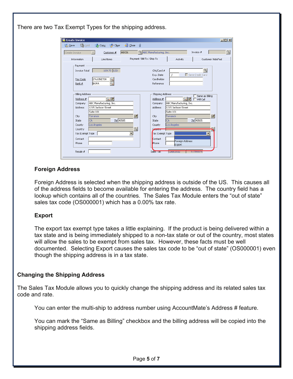There are two Tax Exempt Types for the shipping address.

| 医 Create Invoice              |                         |                             |                                      |                         |                  | $\Box$ $\Box$ $\times$ |
|-------------------------------|-------------------------|-----------------------------|--------------------------------------|-------------------------|------------------|------------------------|
| <b>Do</b> Yold<br><b>Save</b> | <b>Opy</b><br>Clear     | $\Box$ Close<br>$\sqrt{0}$  |                                      |                         |                  |                        |
| Create Invoice                | Customer #              | ABC01                       | <sup>3</sup> ABC Manufacturing, Inc. |                         | Invoice #        | $\mathcal{L}$          |
| Information                   | Line Items              | Payment / Bill To / Ship To |                                      | Activity                |                  | Customer NotePad       |
| Payment                       |                         |                             |                                      |                         |                  |                        |
| Invoice Total                 | 109.75 USD              |                             | Chk/Card #                           |                         | G.               |                        |
|                               |                         |                             | Exp. Date                            |                         | Save Credit Card |                        |
| Pay Code                      | 2%10NET30               |                             | Cardholder                           |                         |                  |                        |
| Bank #                        | <b>BOFA</b>             |                             | Reference                            |                         |                  |                        |
|                               |                         |                             |                                      |                         |                  |                        |
| <b>Billing Address</b>        |                         |                             | Shipping Address                     |                         | Same as Billing  |                        |
| Address #                     | $C_{\rm c}$ $\Box$      |                             | Address #                            | $C_{\bullet}$ by        | Will Call        |                        |
| Company                       | ABC Manufacturing, Inc. |                             | Company                              | ABC Manufacturing, Inc. |                  |                        |
| <b>Address</b>                | 1215 Jackson Street     |                             | Address                              | 1215 Jackson Street     |                  |                        |
|                               | Suite 101               |                             |                                      | Suite 101               |                  |                        |
| City                          | Torrance                | $\mathbb{Z}$                | City                                 | Torrance                |                  | 动                      |
| State                         | Zip 90505<br>lca        |                             | State                                | lca                     | Zip 90505        |                        |
| County                        | Los Angeles             |                             | County                               | Los Angeles             |                  |                        |
| Country                       |                         | ٩                           | <b>Country</b>                       |                         |                  |                        |
| Tax Exempt Type               |                         |                             | Tax Exempt Type                      |                         | ▼                |                        |
| Contact                       |                         |                             | Contact                              | Foreign Address         |                  |                        |
| Phone                         |                         |                             | Phone                                | Export                  |                  |                        |
|                               |                         |                             |                                      |                         |                  |                        |
| Resale #                      |                         |                             | Sales Tax                            | <b>JUADUTUSZ</b>        | <b>2.7000070</b> |                        |
|                               |                         |                             |                                      |                         |                  |                        |

#### **Foreign Address**

Foreign Address is selected when the shipping address is outside of the US. This causes all of the address fields to become available for entering the address. The country field has a lookup which contains all of the countries. The Sales Tax Module enters the "out of state" sales tax code (OS000001) which has a 0.00% tax rate.

#### **Export**

The export tax exempt type takes a little explaining. If the product is being delivered within a tax state and is being immediately shipped to a non-tax state or out of the country, most states will allow the sales to be exempt from sales tax. However, these facts must be well documented. Selecting Export causes the sales tax code to be "out of state" (OS000001) even though the shipping address is in a tax state.

#### **Changing the Shipping Address**

The Sales Tax Module allows you to quickly change the shipping address and its related sales tax code and rate.

You can enter the multi-ship to address number using AccountMate's Address # feature.

You can mark the "Same as Billing" checkbox and the billing address will be copied into the shipping address fields.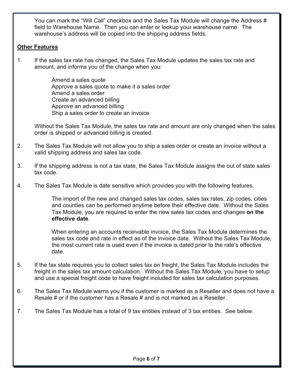You can mark the "Will Call" checkbox and the Sales Tax Module will change the Address # field to Warehouse Name. Then you can enter or lookup your warehouse name. The warehouse's address will be copied into the shipping address fields.

#### **Other Features**

1. If the sales tax rate has changed, the Sales Tax Module updates the sales tax rate and amount, and informs you of the change when you:

> Amend a sales quote Approve a sales quote to make it a sales order Amend a sales order Create an advanced billing Approve an advanced billing Ship a sales order to create an invoice

Without the Sales Tax Module, the sales tax rate and amount are only changed when the sales order is shipped or advanced billing is created.

- 2. The Sales Tax Module will not allow you to ship a sales order or create an invoice without a valid shipping address and sales tax code.
- 3. If the shipping address is not a tax state, the Sales Tax Module assigns the out of state sales tax code.
- 4. The Sales Tax Module is date sensitive which provides you with the following features.

The import of the new and changed sales tax codes, sales tax rates, zip codes, cities and counties can be performed anytime before their effective date. Without the Sales Tax Module, you are required to enter the new sales tax codes and changes **on the effective date**.

When entering an accounts receivable invoice, the Sales Tax Module determines the sales tax code and rate in effect as of the invoice date. Without the Sales Tax Module, the most current rate is used even if the invoice is dated prior to the rate's effective date.

- 5. If the tax state requires you to collect sales tax on freight, the Sales Tax Module includes the freight in the sales tax amount calculation. Without the Sales Tax Module, you have to setup and use a special freight code to have freight included for sales tax calculation purposes.
- 6. The Sales Tax Module warns you if the customer is marked as a Reseller and does not have a Resale # or if the customer has a Resale # and is not marked as a Reseller.
- 7. The Sales Tax Module has a total of 9 tax entities instead of 3 tax entities. See below.